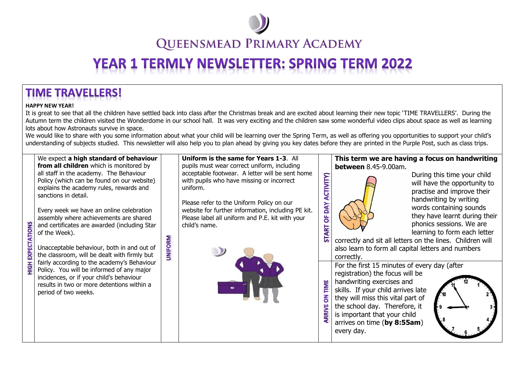

**QUEENSMEAD PRIMARY ACADEMY** 

## **YEAR 1 TERMLY NEWSLETTER: SPRING TERM 2022**

## **TIME TRAVELLERS!**

## **HAPPY NEW YEAR!**

**EXPECTATIONS** 

H<sub>OH</sub>

It is great to see that all the children have settled back into class after the Christmas break and are excited about learning their new topic 'TIME TRAVELLERS'. During the Autumn term the children visited the Wonderdome in our school hall. It was very exciting and the children saw some wonderful video clips about space as well as learning lots about how Astronauts survive in space.

We would like to share with you some information about what your child will be learning over the Spring Term, as well as offering you opportunities to support your child's understanding of subjects studied. This newsletter will also help you to plan ahead by giving you key dates before they are printed in the Purple Post, such as class trips.

We expect **a high standard of behaviour from all children** which is monitored by all staff in the academy. The Behaviour Policy (which can be found on our website) explains the academy rules, rewards and sanctions in detail.

Every week we have an online celebration assembly where achievements are shared and certificates are awarded (including Star of the Week).

**UNIFORM** 

Unacceptable behaviour, both in and out of the classroom, will be dealt with firmly but fairly according to the academy's Behaviour Policy. You will be informed of any major incidences, or if your child's behaviour results in two or more detentions within a period of two weeks.

**Uniform is the same for Years 1-3**. All pupils must wear correct uniform, including acceptable footwear. A letter will be sent home with pupils who have missing or incorrect uniform.

Please refer to the Uniform Policy on our website for further information, including PE kit. Please label all uniform and P.E. kit with your child's name.



## **This term we are having a focus on handwriting between** 8.45-9.00am.



TIME  $\overline{6}$ 

ARRIVE

During this time your child will have the opportunity to practise and improve their handwriting by writing words containing sounds they have learnt during their phonics sessions. We are learning to form each letter

correctly and sit all letters on the lines. Children will also learn to form all capital letters and numbers correctly. For the first 15 minutes of every day (after

registration) the focus will be handwriting exercises and skills. If your child arrives late they will miss this vital part of the school day. Therefore, it is important that your child arrives on time (**by 8:55am**) every day.